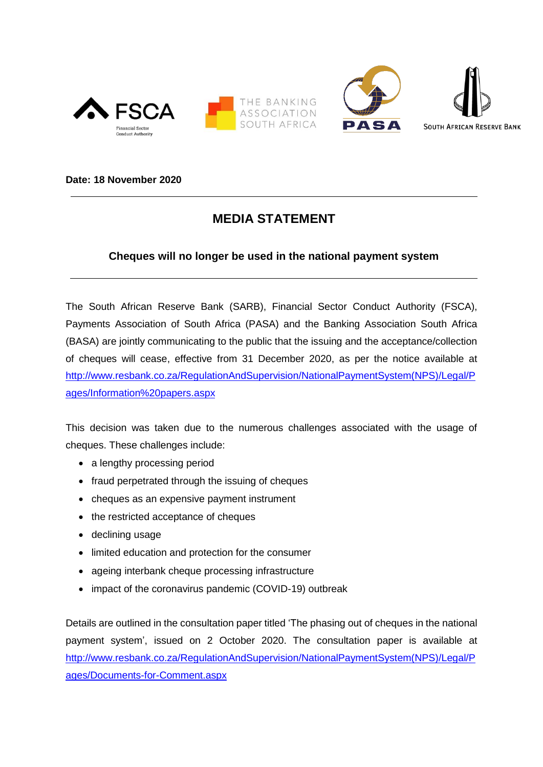





**Date: 18 November 2020**

## **MEDIA STATEMENT**

## **Cheques will no longer be used in the national payment system**

The South African Reserve Bank (SARB), Financial Sector Conduct Authority (FSCA), Payments Association of South Africa (PASA) and the Banking Association South Africa (BASA) are jointly communicating to the public that the issuing and the acceptance/collection of cheques will cease, effective from 31 December 2020, as per the notice available at [http://www.resbank.co.za/RegulationAndSupervision/NationalPaymentSystem\(NPS\)/Legal/P](https://www.resbank.co.za/RegulationAndSupervision/NationalPaymentSystem(NPS)/Legal/Pages/Information%20papers.aspx) [ages/Information%20papers.aspx](https://www.resbank.co.za/RegulationAndSupervision/NationalPaymentSystem(NPS)/Legal/Pages/Information%20papers.aspx)

This decision was taken due to the numerous challenges associated with the usage of cheques. These challenges include:

- a lengthy processing period
- fraud perpetrated through the issuing of cheques
- cheques as an expensive payment instrument
- the restricted acceptance of cheques
- declining usage
- limited education and protection for the consumer
- ageing interbank cheque processing infrastructure
- impact of the coronavirus pandemic (COVID-19) outbreak

Details are outlined in the consultation paper titled 'The phasing out of cheques in the national payment system', issued on 2 October 2020. The consultation paper is available at [http://www.resbank.co.za/RegulationAndSupervision/NationalPaymentSystem\(NPS\)/Legal/P](https://www.resbank.co.za/RegulationAndSupervision/NationalPaymentSystem(NPS)/Legal/Pages/Documents-for-Comment.aspx) [ages/Documents-for-Comment.aspx](https://www.resbank.co.za/RegulationAndSupervision/NationalPaymentSystem(NPS)/Legal/Pages/Documents-for-Comment.aspx)